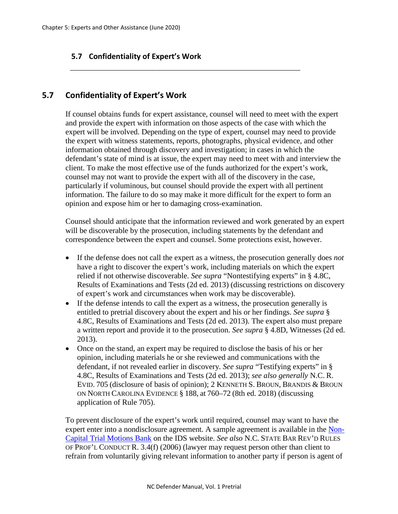## **5.7 Confidentiality of Expert's Work**

## **5.7 Confidentiality of Expert's Work**

If counsel obtains funds for expert assistance, counsel will need to meet with the expert and provide the expert with information on those aspects of the case with which the expert will be involved. Depending on the type of expert, counsel may need to provide the expert with witness statements, reports, photographs, physical evidence, and other information obtained through discovery and investigation; in cases in which the defendant's state of mind is at issue, the expert may need to meet with and interview the client. To make the most effective use of the funds authorized for the expert's work, counsel may not want to provide the expert with all of the discovery in the case, particularly if voluminous, but counsel should provide the expert with all pertinent information. The failure to do so may make it more difficult for the expert to form an opinion and expose him or her to damaging cross-examination.

\_\_\_\_\_\_\_\_\_\_\_\_\_\_\_\_\_\_\_\_\_\_\_\_\_\_\_\_\_\_\_\_\_\_\_\_\_\_\_\_\_\_\_\_\_\_\_\_\_\_\_\_\_\_\_\_\_\_\_

Counsel should anticipate that the information reviewed and work generated by an expert will be discoverable by the prosecution, including statements by the defendant and correspondence between the expert and counsel. Some protections exist, however.

- If the defense does not call the expert as a witness, the prosecution generally does *not*  have a right to discover the expert's work, including materials on which the expert relied if not otherwise discoverable. *See supra* "Nontestifying experts" in § 4.8C, Results of Examinations and Tests (2d ed. 2013) (discussing restrictions on discovery of expert's work and circumstances when work may be discoverable).
- If the defense intends to call the expert as a witness, the prosecution generally is entitled to pretrial discovery about the expert and his or her findings. *See supra* § 4.8C, Results of Examinations and Tests (2d ed. 2013). The expert also must prepare a written report and provide it to the prosecution. *See supra* § 4.8D, Witnesses (2d ed. 2013).
- Once on the stand, an expert may be required to disclose the basis of his or her opinion, including materials he or she reviewed and communications with the defendant, if not revealed earlier in discovery. *See supra* "Testifying experts" in § 4.8C, Results of Examinations and Tests (2d ed. 2013); *see also generally* N.C. R. EVID. 705 (disclosure of basis of opinion); 2 KENNETH S. BROUN, BRANDIS & BROUN ON NORTH CAROLINA EVIDENCE § 188, at 760–72 (8th ed. 2018) (discussing application of Rule 705).

To prevent disclosure of the expert's work until required, counsel may want to have the expert enter into a nondisclosure agreement. A sample agreement is available in the [Non-](http://www.ncids.org/MotionsBankNonCap/TriaMotionsLinks.htm)[Capital Trial Motions Bank](http://www.ncids.org/MotionsBankNonCap/TriaMotionsLinks.htm) on the IDS website. *See also* N.C. STATE BAR REV'D RULES OF PROF'L CONDUCT R. 3.4(f) (2006) (lawyer may request person other than client to refrain from voluntarily giving relevant information to another party if person is agent of